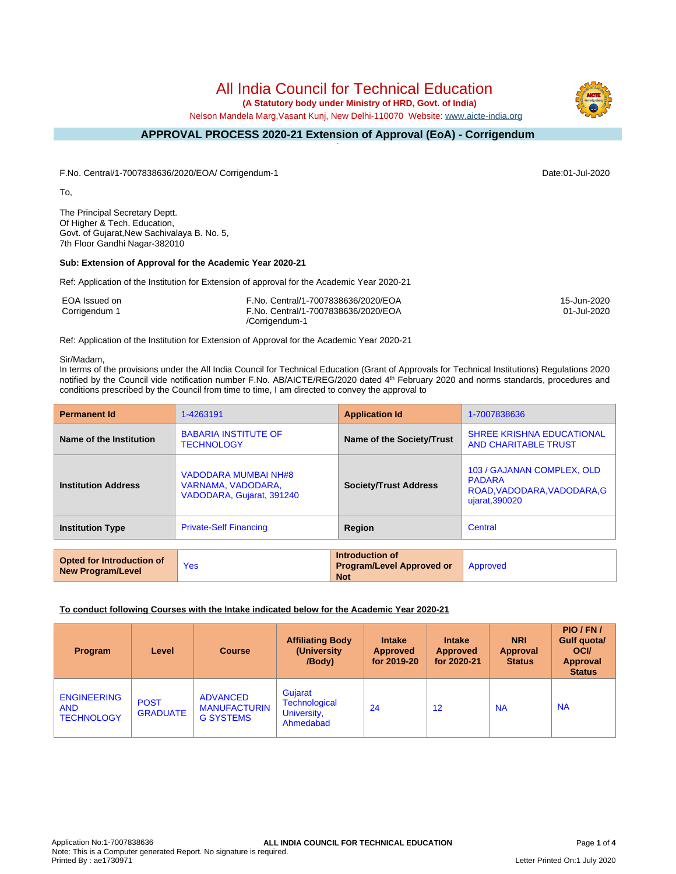# All India Council for Technical Education

 **(A Statutory body under Ministry of HRD, Govt. of India)**

Nelson Mandela Marg,Vasant Kunj, New Delhi-110070 Website: [www.aicte-india.org](http://www.aicte-india.org)

#### **APPROVAL PROCESS 2020-21 Extension of Approval (EoA) - Corrigendum -**

F.No. Central/1-7007838636/2020/EOA/ Corrigendum-1 Date:01-Jul-2020

To,

The Principal Secretary Deptt. Of Higher & Tech. Education, Govt. of Gujarat,New Sachivalaya B. No. 5, 7th Floor Gandhi Nagar-382010

### **Sub: Extension of Approval for the Academic Year 2020-21**

Ref: Application of the Institution for Extension of approval for the Academic Year 2020-21

| EOA Issued on | F.No. Central/1-7007838636/2020/EOA | 15-Jun-2020 |
|---------------|-------------------------------------|-------------|
| Corrigendum 1 | F.No. Central/1-7007838636/2020/EOA | 01-Jul-2020 |
|               | /Corrigendum-1                      |             |

Ref: Application of the Institution for Extension of Approval for the Academic Year 2020-21

#### Sir/Madam,

In terms of the provisions under the All India Council for Technical Education (Grant of Approvals for Technical Institutions) Regulations 2020 notified by the Council vide notification number F.No. AB/AICTE/REG/2020 dated 4<sup>th</sup> February 2020 and norms standards, procedures and conditions prescribed by the Council from time to time, I am directed to convey the approval to

| <b>Permanent Id</b>        | 1-4263191                                                               | <b>Application Id</b>        | 1-7007838636                                                                                 |
|----------------------------|-------------------------------------------------------------------------|------------------------------|----------------------------------------------------------------------------------------------|
| Name of the Institution    | <b>BABARIA INSTITUTE OF</b><br><b>TECHNOLOGY</b>                        | Name of the Society/Trust    | <b>SHREE KRISHNA EDUCATIONAL</b><br><b>AND CHARITABLE TRUST</b>                              |
| <b>Institution Address</b> | VADODARA MUMBAI NH#8<br>VARNAMA, VADODARA,<br>VADODARA, Gujarat, 391240 | <b>Society/Trust Address</b> | 103 / GAJANAN COMPLEX, OLD<br><b>PADARA</b><br>ROAD, VADODARA, VADODARA, G<br>ujarat, 390020 |
| <b>Institution Type</b>    | <b>Private-Self Financing</b>                                           | <b>Region</b>                | Central                                                                                      |

| <b>Opted for Introduction of</b><br>New Program/Level | Yes | <b>Introduction of</b><br><b>Program/Level Approved or</b><br><b>Not</b> | Approved |
|-------------------------------------------------------|-----|--------------------------------------------------------------------------|----------|
|-------------------------------------------------------|-----|--------------------------------------------------------------------------|----------|

### **To conduct following Courses with the Intake indicated below for the Academic Year 2020-21**

| <b>Program</b>                                        | Level                          | <b>Course</b>                                              | <b>Affiliating Body</b><br>(University)<br>/Body)    | <b>Intake</b><br><b>Approved</b><br>for 2019-20 | <b>Intake</b><br><b>Approved</b><br>for 2020-21 | <b>NRI</b><br><b>Approval</b><br><b>Status</b> | PIO/FN/<br>Gulf quota/<br><b>OCI</b><br><b>Approval</b><br><b>Status</b> |
|-------------------------------------------------------|--------------------------------|------------------------------------------------------------|------------------------------------------------------|-------------------------------------------------|-------------------------------------------------|------------------------------------------------|--------------------------------------------------------------------------|
| <b>ENGINEERING</b><br><b>AND</b><br><b>TECHNOLOGY</b> | <b>POST</b><br><b>GRADUATE</b> | <b>ADVANCED</b><br><b>MANUFACTURIN</b><br><b>G SYSTEMS</b> | Gujarat<br>Technological<br>University,<br>Ahmedabad | 24                                              | 12                                              | <b>NA</b>                                      | <b>NA</b>                                                                |

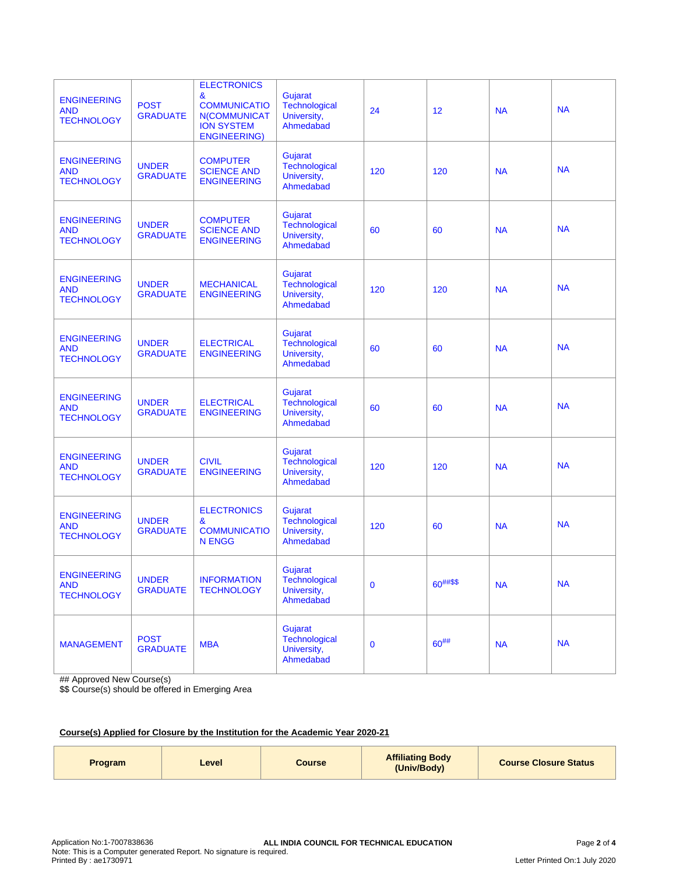| <b>ENGINEERING</b><br><b>AND</b><br><b>TECHNOLOGY</b> | <b>POST</b><br><b>GRADUATE</b>  | <b>ELECTRONICS</b><br>&<br><b>COMMUNICATIO</b><br><b>N(COMMUNICAT</b><br><b>ION SYSTEM</b><br><b>ENGINEERING)</b> | Gujarat<br><b>Technological</b><br>University,<br>Ahmedabad | 24       | 12        | <b>NA</b> | <b>NA</b> |
|-------------------------------------------------------|---------------------------------|-------------------------------------------------------------------------------------------------------------------|-------------------------------------------------------------|----------|-----------|-----------|-----------|
| <b>ENGINEERING</b><br><b>AND</b><br><b>TECHNOLOGY</b> | <b>UNDER</b><br><b>GRADUATE</b> | <b>COMPUTER</b><br><b>SCIENCE AND</b><br><b>ENGINEERING</b>                                                       | Gujarat<br><b>Technological</b><br>University,<br>Ahmedabad | 120      | 120       | <b>NA</b> | <b>NA</b> |
| <b>ENGINEERING</b><br><b>AND</b><br><b>TECHNOLOGY</b> | <b>UNDER</b><br><b>GRADUATE</b> | <b>COMPUTER</b><br><b>SCIENCE AND</b><br><b>ENGINEERING</b>                                                       | Gujarat<br><b>Technological</b><br>University,<br>Ahmedabad | 60       | 60        | <b>NA</b> | <b>NA</b> |
| <b>ENGINEERING</b><br><b>AND</b><br><b>TECHNOLOGY</b> | <b>UNDER</b><br><b>GRADUATE</b> | <b>MECHANICAL</b><br><b>ENGINEERING</b>                                                                           | Gujarat<br>Technological<br>University,<br>Ahmedabad        | 120      | 120       | <b>NA</b> | <b>NA</b> |
| <b>ENGINEERING</b><br><b>AND</b><br><b>TECHNOLOGY</b> | <b>UNDER</b><br><b>GRADUATE</b> | <b>ELECTRICAL</b><br><b>ENGINEERING</b>                                                                           | Gujarat<br><b>Technological</b><br>University,<br>Ahmedabad | 60       | 60        | <b>NA</b> | <b>NA</b> |
| <b>ENGINEERING</b><br><b>AND</b><br><b>TECHNOLOGY</b> | <b>UNDER</b><br><b>GRADUATE</b> | <b>ELECTRICAL</b><br><b>ENGINEERING</b>                                                                           | Gujarat<br>Technological<br>University,<br>Ahmedabad        | 60       | 60        | <b>NA</b> | <b>NA</b> |
| <b>ENGINEERING</b><br><b>AND</b><br><b>TECHNOLOGY</b> | <b>UNDER</b><br><b>GRADUATE</b> | <b>CIVIL</b><br><b>ENGINEERING</b>                                                                                | Gujarat<br><b>Technological</b><br>University,<br>Ahmedabad | 120      | 120       | <b>NA</b> | <b>NA</b> |
| <b>ENGINEERING</b><br><b>AND</b><br><b>TECHNOLOGY</b> | <b>UNDER</b><br><b>GRADUATE</b> | <b>ELECTRONICS</b><br>&<br><b>COMMUNICATIO</b><br><b>N ENGG</b>                                                   | Gujarat<br>Technological<br>University,<br>Ahmedabad        | 120      | 60        | <b>NA</b> | <b>NA</b> |
| <b>ENGINEERING</b><br><b>AND</b><br><b>TECHNOLOGY</b> | <b>UNDER</b><br><b>GRADUATE</b> | <b>INFORMATION</b><br><b>TECHNOLOGY</b>                                                                           | Gujarat<br>Technological<br>University,<br>Ahmedabad        | $\bf{0}$ | 60##\$\$  | <b>NA</b> | <b>NA</b> |
| <b>MANAGEMENT</b>                                     | <b>POST</b><br><b>GRADUATE</b>  | <b>MBA</b>                                                                                                        | Gujarat<br><b>Technological</b><br>University,<br>Ahmedabad | $\bf{0}$ | $60^{##}$ | <b>NA</b> | <b>NA</b> |

## Approved New Course(s)

\$\$ Course(s) should be offered in Emerging Area

# **Course(s) Applied for Closure by the Institution for the Academic Year 2020-21**

| Program | Level | Course | <b>Affiliating Body</b><br>(Univ/Body) | <b>Course Closure Status</b> |
|---------|-------|--------|----------------------------------------|------------------------------|
|---------|-------|--------|----------------------------------------|------------------------------|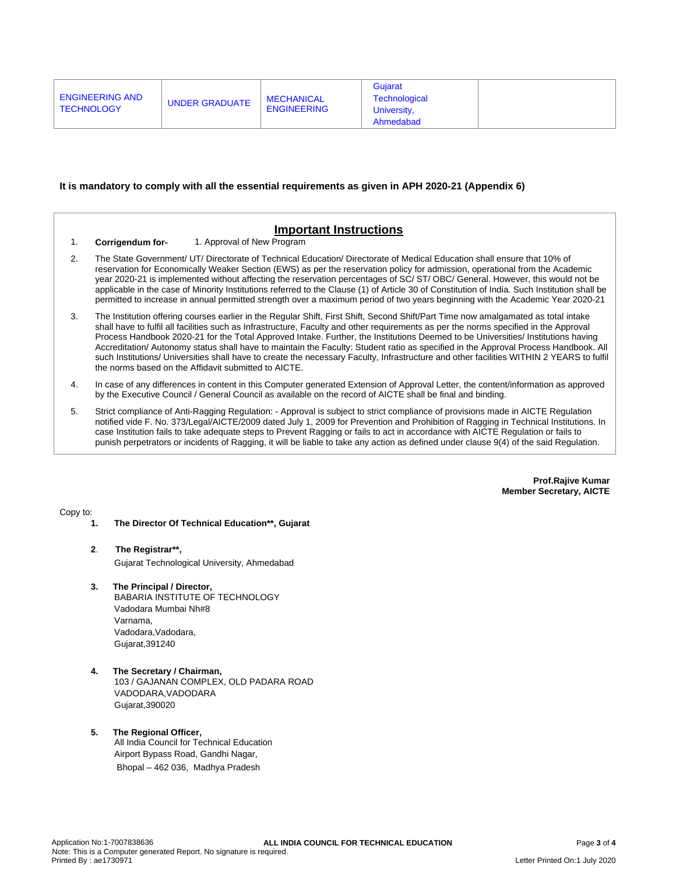| ENGINEERING AND<br><b>TECHNOLOGY</b> | <b>UNDER GRADUATE</b> | <b>MECHANICAL</b><br><b>ENGINEERING</b> | Guiarat<br>Technological |  |
|--------------------------------------|-----------------------|-----------------------------------------|--------------------------|--|
|                                      |                       |                                         | University,              |  |
|                                      |                       |                                         | Ahmedabad                |  |

#### **It is mandatory to comply with all the essential requirements as given in APH 2020-21 (Appendix 6)**

| 1. | <b>Important Instructions</b><br>1. Approval of New Program<br>Corrigendum for-                                                                                                                                                                                                                                                                                                                                                                                                                                                                                                                                                                                                                                                                            |  |
|----|------------------------------------------------------------------------------------------------------------------------------------------------------------------------------------------------------------------------------------------------------------------------------------------------------------------------------------------------------------------------------------------------------------------------------------------------------------------------------------------------------------------------------------------------------------------------------------------------------------------------------------------------------------------------------------------------------------------------------------------------------------|--|
| 2. | The State Government/ UT/ Directorate of Technical Education/ Directorate of Medical Education shall ensure that 10% of<br>reservation for Economically Weaker Section (EWS) as per the reservation policy for admission, operational from the Academic<br>year 2020-21 is implemented without affecting the reservation percentages of SC/ST/OBC/General. However, this would not be<br>applicable in the case of Minority Institutions referred to the Clause (1) of Article 30 of Constitution of India. Such Institution shall be<br>permitted to increase in annual permitted strength over a maximum period of two years beginning with the Academic Year 2020-21                                                                                    |  |
| 3. | The Institution offering courses earlier in the Regular Shift, First Shift, Second Shift/Part Time now amalgamated as total intake<br>shall have to fulfil all facilities such as Infrastructure, Faculty and other requirements as per the norms specified in the Approval<br>Process Handbook 2020-21 for the Total Approved Intake. Further, the Institutions Deemed to be Universities/ Institutions having<br>Accreditation/ Autonomy status shall have to maintain the Faculty: Student ratio as specified in the Approval Process Handbook. All<br>such Institutions/ Universities shall have to create the necessary Faculty, Infrastructure and other facilities WITHIN 2 YEARS to fulfil<br>the norms based on the Affidavit submitted to AICTE. |  |
| 4. | In case of any differences in content in this Computer generated Extension of Approval Letter, the content/information as approved<br>by the Executive Council / General Council as available on the record of AICTE shall be final and binding.                                                                                                                                                                                                                                                                                                                                                                                                                                                                                                           |  |
| 5. | Strict compliance of Anti-Ragging Regulation: - Approval is subject to strict compliance of provisions made in AICTE Regulation<br>notified vide F. No. 373/Legal/AICTE/2009 dated July 1, 2009 for Prevention and Prohibition of Ragging in Technical Institutions. In<br>case Institution fails to take adequate steps to Prevent Ragging or fails to act in accordance with AICTE Regulation or fails to<br>punish perpetrators or incidents of Ragging, it will be liable to take any action as defined under clause 9(4) of the said Regulation.                                                                                                                                                                                                      |  |

**Prof.Rajive Kumar Member Secretary, AICTE**

Copy to:

- **1. The Director Of Technical Education\*\*, Gujarat**
- **2**. **The Registrar\*\*,** Gujarat Technological University, Ahmedabad
	-
- **3. The Principal / Director,** BABARIA INSTITUTE OF TECHNOLOGY Vadodara Mumbai Nh#8

Varnama, Vadodara, Vadodara, Gujarat,391240

- **4. The Secretary / Chairman,** 103 / GAJANAN COMPLEX, OLD PADARA ROAD VADODARA,VADODARA Gujarat,390020
- **5. The Regional Officer,** All India Council for Technical Education Airport Bypass Road, Gandhi Nagar, Bhopal – 462 036, Madhya Pradesh